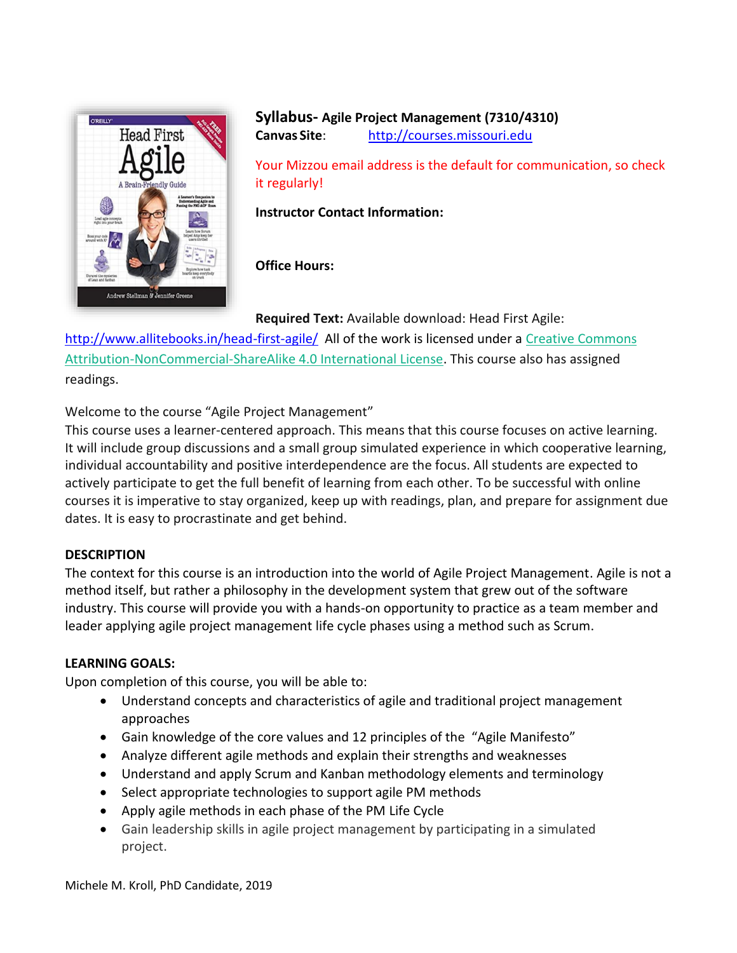

## **Syllabus- Agile Project Management (7310/4310) Canvas Site**: [http://courses.missouri.edu](http://courses.missouri.edu/)

Your Mizzou email address is the default for communication, so check it regularly!

**Instructor Contact Information:**

## **Office Hours:**

**Required Text:** Available download: Head First Agile:

<http://www.allitebooks.in/head-first-agile/> All of the work is licensed under a [Creative Commons](http://creativecommons.org/licenses/by-nc-sa/4.0/)  [Attribution-NonCommercial-ShareAlike 4.0 International License.](http://creativecommons.org/licenses/by-nc-sa/4.0/) This course also has assigned readings.

Welcome to the course "Agile Project Management"

This course uses a learner-centered approach. This means that this course focuses on active learning. It will include group discussions and a small group simulated experience in which cooperative learning, individual accountability and positive interdependence are the focus. All students are expected to actively participate to get the full benefit of learning from each other. To be successful with online courses it is imperative to stay organized, keep up with readings, plan, and prepare for assignment due dates. It is easy to procrastinate and get behind.

### **DESCRIPTION**

The context for this course is an introduction into the world of Agile Project Management. Agile is not a method itself, but rather a philosophy in the development system that grew out of the software industry. This course will provide you with a hands-on opportunity to practice as a team member and leader applying agile project management life cycle phases using a method such as Scrum.

### **LEARNING GOALS:**

Upon completion of this course, you will be able to:

- Understand concepts and characteristics of agile and traditional project management approaches
- Gain knowledge of the core values and 12 principles of the "Agile Manifesto"
- Analyze different agile methods and explain their strengths and weaknesses
- Understand and apply Scrum and Kanban methodology elements and terminology
- Select appropriate technologies to support agile PM methods
- Apply agile methods in each phase of the PM Life Cycle
- Gain leadership skills in agile project management by participating in a simulated project.

Michele M. Kroll, PhD Candidate, 2019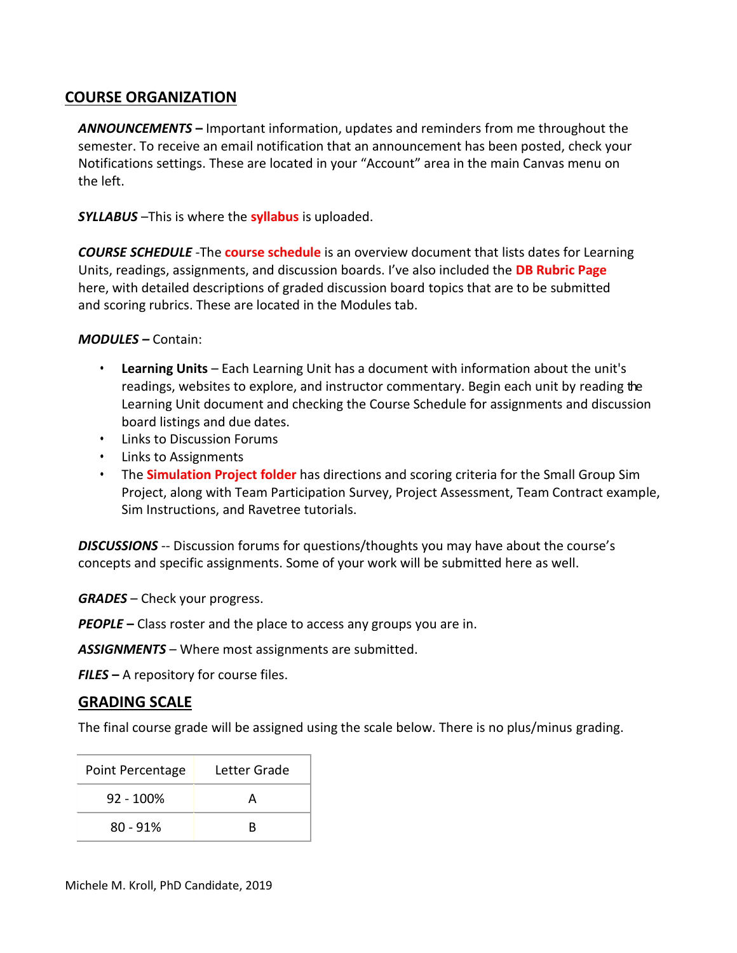# **COURSE ORGANIZATION**

*ANNOUNCEMENTS* **–** Important information, updates and reminders from me throughout the semester. To receive an email notification that an announcement has been posted, check your Notifications settings. These are located in your "Account" area in the main Canvas menu on the left.

*SYLLABUS* –This is where the **syllabus** is uploaded.

*COURSE SCHEDULE* -The **course schedule** is an overview document that lists dates for Learning Units, readings, assignments, and discussion boards. I've also included the **DB Rubric Page**  here, with detailed descriptions of graded discussion board topics that are to be submitted and scoring rubrics. These are located in the Modules tab.

*MODULES –* Contain:

- **Learning Units**  Each Learning Unit has a document with information about the unit's readings, websites to explore, and instructor commentary. Begin each unit by reading the Learning Unit document and checking the Course Schedule for assignments and discussion board listings and due dates.
- Links to Discussion Forums
- Links to Assignments
- The **Simulation Project folder** has directions and scoring criteria for the Small Group Sim Project, along with Team Participation Survey, Project Assessment, Team Contract example, Sim Instructions, and Ravetree tutorials.

*DISCUSSIONS* -- Discussion forums for questions/thoughts you may have about the course's concepts and specific assignments. Some of your work will be submitted here as well.

*GRADES* – Check your progress.

*PEOPLE* **–** Class roster and the place to access any groups you are in.

*ASSIGNMENTS* – Where most assignments are submitted.

*FILES* **–** A repository for course files.

### **GRADING SCALE**

The final course grade will be assigned using the scale below. There is no plus/minus grading.

| Point Percentage | Letter Grade |  |  |
|------------------|--------------|--|--|
| $92 - 100\%$     |              |  |  |
| $80 - 91%$       | R            |  |  |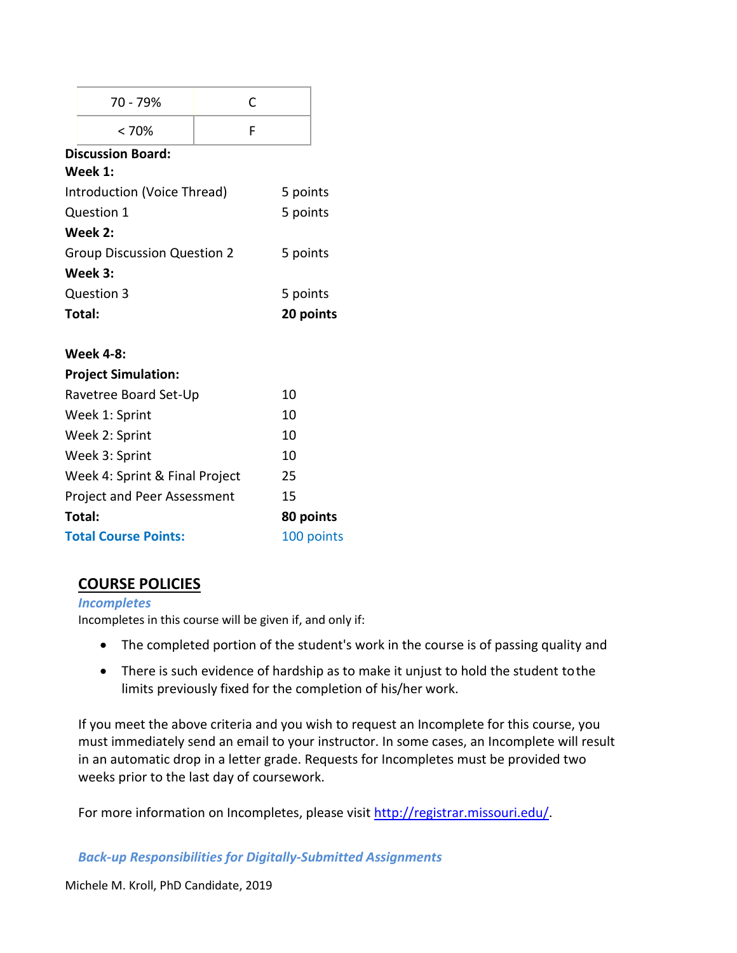|                                    | 70 - 79%                   |  | C          |           |  |  |
|------------------------------------|----------------------------|--|------------|-----------|--|--|
|                                    | < 70%                      |  | F          |           |  |  |
|                                    | <b>Discussion Board:</b>   |  |            |           |  |  |
|                                    | Week 1:                    |  |            |           |  |  |
| Introduction (Voice Thread)        |                            |  |            | 5 points  |  |  |
| Question 1                         |                            |  |            | 5 points  |  |  |
|                                    | Week 2:                    |  |            |           |  |  |
| <b>Group Discussion Question 2</b> |                            |  |            | 5 points  |  |  |
|                                    | Week 3:                    |  |            |           |  |  |
| Question 3                         |                            |  |            | 5 points  |  |  |
| Total:                             |                            |  |            | 20 points |  |  |
|                                    | <b>Week 4-8:</b>           |  |            |           |  |  |
|                                    | <b>Project Simulation:</b> |  |            |           |  |  |
| Ravetree Board Set-Up              |                            |  |            | 10        |  |  |
| Week 1: Sprint                     |                            |  |            | 10        |  |  |
| Week 2: Sprint                     |                            |  |            | 10        |  |  |
| Week 3: Sprint                     |                            |  |            | 10        |  |  |
| Week 4: Sprint & Final Project     |                            |  |            | 25        |  |  |
| Project and Peer Assessment        |                            |  | 15         |           |  |  |
|                                    | Total:                     |  |            | 80 points |  |  |
| <b>Total Course Points:</b>        |                            |  | 100 points |           |  |  |

# **COURSE POLICIES**

*Incompletes* Incompletes in this course will be given if, and only if:

- The completed portion of the student's work in the course is of passing quality and
- There is such evidence of hardship as to make it unjust to hold the student tothe limits previously fixed for the completion of his/her work.

If you meet the above criteria and you wish to request an Incomplete for this course, you must immediately send an email to your instructor. In some cases, an Incomplete will result in an automatic drop in a letter grade. Requests for Incompletes must be provided two weeks prior to the last day of coursework.

For more information on Incompletes, please visit [http://registrar.missouri.edu/.](http://registrar.missouri.edu/)

*Back-up Responsibilities for Digitally-Submitted Assignments*

Michele M. Kroll, PhD Candidate, 2019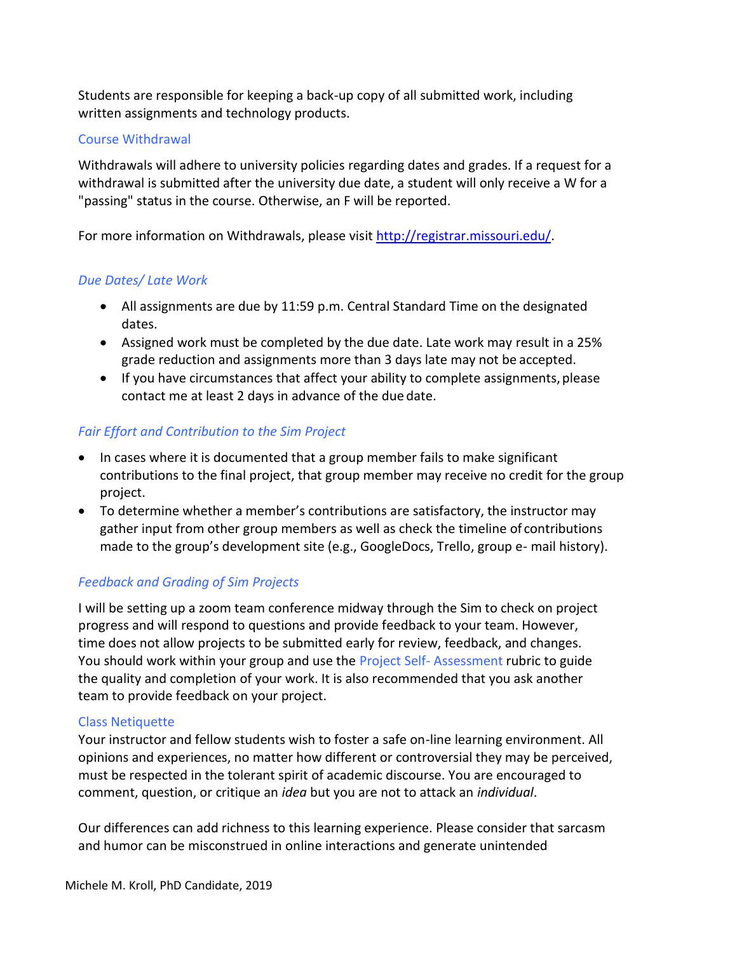Students are responsible for keeping a back-up copy of all submitted work, including written assignments and technology products.

#### Course Withdrawal

Withdrawals will adhere to university policies regarding dates and grades. If a request for a withdrawal is submitted after the university due date, a student will only receive a W for a "passing" status in the course. Otherwise, an F will be reported.

For more information on Withdrawals, please visit [http://registrar.missouri.edu/.](http://registrar.missouri.edu/)

## *Due Dates/ Late Work*

- All assignments are due by 11:59 p.m. Central Standard Time on the designated dates.
- Assigned work must be completed by the due date. Late work may result in a 25% grade reduction and assignments more than 3 days late may not be accepted.
- If you have circumstances that affect your ability to complete assignments, please contact me at least 2 days in advance of the due date.

### *Fair Effort and Contribution to the Sim Project*

- In cases where it is documented that a group member fails to make significant contributions to the final project, that group member may receive no credit for the group project.
- To determine whether a member's contributions are satisfactory, the instructor may gather input from other group members as well as check the timeline of contributions made to the group's development site (e.g., GoogleDocs, Trello, group e- mail history).

### *Feedback and Grading of Sim Projects*

I will be setting up a zoom team conference midway through the Sim to check on project progress and will respond to questions and provide feedback to your team. However, time does not allow projects to be submitted early for review, feedback, and changes. You should work within your group and use the Project Self-Assessment rubric to guide the quality and completion of your work. It is also recommended that you ask another team to provide feedback on your project.

### Class Netiquette

Your instructor and fellow students wish to foster a safe on-line learning environment. All opinions and experiences, no matter how different or controversial they may be perceived, must be respected in the tolerant spirit of academic discourse. You are encouraged to comment, question, or critique an *idea* but you are not to attack an *individual*.

Our differences can add richness to this learning experience. Please consider that sarcasm and humor can be misconstrued in online interactions and generate unintended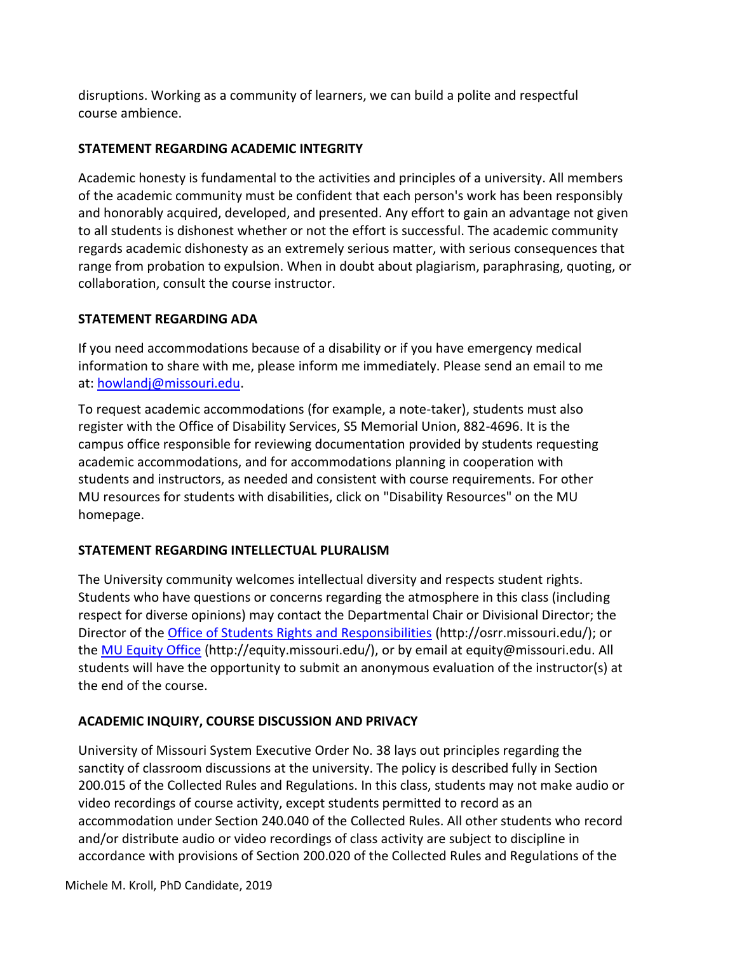disruptions. Working as a community of learners, we can build a polite and respectful course ambience.

## **STATEMENT REGARDING ACADEMIC INTEGRITY**

Academic honesty is fundamental to the activities and principles of a university. All members of the academic community must be confident that each person's work has been responsibly and honorably acquired, developed, and presented. Any effort to gain an advantage not given to all students is dishonest whether or not the effort is successful. The academic community regards academic dishonesty as an extremely serious matter, with serious consequences that range from probation to expulsion. When in doubt about plagiarism, paraphrasing, quoting, or collaboration, consult the course instructor.

### **STATEMENT REGARDING ADA**

If you need accommodations because of a disability or if you have emergency medical information to share with me, please inform me immediately. Please send an email to me at[: howlandj@missouri.edu.](mailto:howlandj@missouri.edu)

To request academic accommodations (for example, a note-taker), students must also register with the Office of Disability Services, S5 Memorial Union, 882-4696. It is the campus office responsible for reviewing documentation provided by students requesting academic accommodations, and for accommodations planning in cooperation with students and instructors, as needed and consistent with course requirements. For other MU resources for students with disabilities, click on "Disability Resources" on the MU homepage.

# **STATEMENT REGARDING INTELLECTUAL PLURALISM**

The University community welcomes intellectual diversity and respects student rights. Students who have questions or concerns regarding the atmosphere in this class (including respect for diverse opinions) may contact the Departmental Chair or Divisional Director; the Director of the [Office of Students Rights and Responsibilities](http://osrr.missouri.edu/) [\(http://osrr.missouri.edu/\); o](http://osrr.missouri.edu/)%3B)r the [MU Equity Office](http://equity.missouri.edu/) [\(ht](http://equity.missouri.edu/)[tp://equity.missouri.edu/\), o](http://equity.missouri.edu/))r by email at [equity@missouri.edu. A](mailto:equity@missouri.edu)ll students will have the opportunity to submit an anonymous evaluation of the instructor(s) at the end of the course.

# **ACADEMIC INQUIRY, COURSE DISCUSSION AND PRIVACY**

University of Missouri System Executive Order No. 38 lays out principles regarding the sanctity of classroom discussions at the university. The policy is described fully in Section 200.015 of the Collected Rules and Regulations. In this class, students may not make audio or video recordings of course activity, except students permitted to record as an accommodation under Section 240.040 of the Collected Rules. All other students who record and/or distribute audio or video recordings of class activity are subject to discipline in accordance with provisions of Section 200.020 of the Collected Rules and Regulations of the